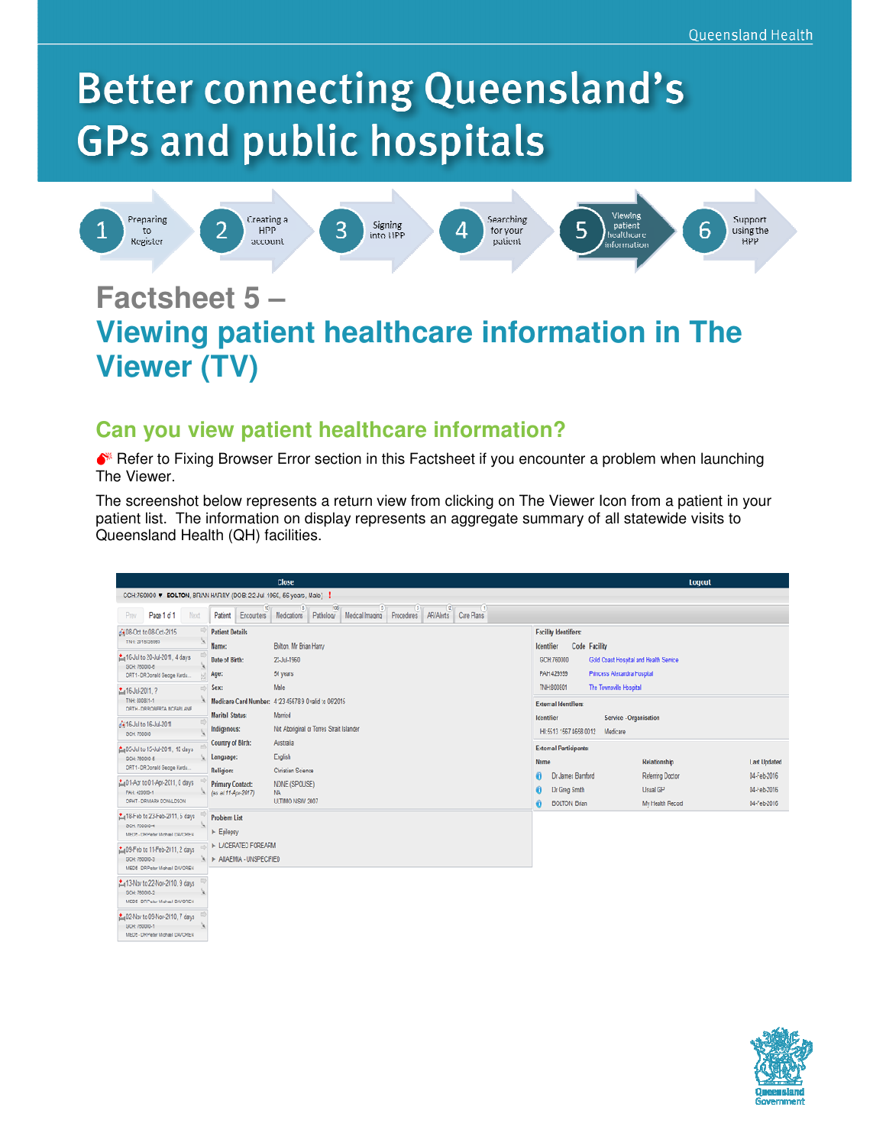# **Better connecting Queensland's GPs and public hospitals**



## **Factsheet 5 – Viewing patient healthcare information in The Viewer (TV)**

#### **Can you view patient healthcare information?**

 $\bullet^*$  Refer to Fixing Browser Error section in this Factsheet if you encounter a problem when launching The Viewer.

The screenshot below represents a return view from clicking on The Viewer Icon from a patient in your patient list. The information on display represents an aggregate summary of all statewide visits to Queensland Health (QH) facilities.

|                                                                                                                                    | Close                                                                                                  |                                                                                                                      | Logout                                    |  |
|------------------------------------------------------------------------------------------------------------------------------------|--------------------------------------------------------------------------------------------------------|----------------------------------------------------------------------------------------------------------------------|-------------------------------------------|--|
| CCHI760000 V BOLTON, BRIAN HARRY (DOB. 22-Jul-1960, 56 years, Male)                                                                |                                                                                                        |                                                                                                                      |                                           |  |
| Page 1 of 1<br>Next<br>Patient<br>Encourters<br>Prev                                                                               | 108<br><b>AR/Alerts</b><br>Care Plans<br>Medications Pathology<br>Medical Imaging<br><b>Procedures</b> |                                                                                                                      |                                           |  |
| <b>Patient Details</b><br>de08-Oct to 08-Oct-2015<br>TNH: 2010030803<br>Name:                                                      | Bolton, Mr Brian Harry                                                                                 | <b>Facility Identifiers:</b><br>Code Facility<br>kentifier                                                           |                                           |  |
| La16-Jul to 20-Jul-2011, 4 days<br>Date of Birth:<br><b>GCH: 760000-6</b><br>ORT1 - DR Donald Geoge Kindu<br>Age:                  | 22-Jul-1960<br>56 years                                                                                | GCH760000<br>Gold Coast Hospital and Health Service<br>PAH 429399<br>Princess Alexandra Pospital                     |                                           |  |
| Sex:<br>2.416-Jul-2011, ?<br>TNH: 800801-1<br>ORTH - DR ROBERTA MCFARLANE                                                          | Male<br>Medicare Card Number: 4123 45678 9 0 valid to 06/2015                                          | TNH:800E01<br>The Toynsville Hospital<br><b>External Identifiers:</b>                                                |                                           |  |
| <b>Harital Status:</b><br>4416-Jul to 16-Jul-2011<br>Indigenous:<br><b>BCH: 760000</b>                                             | Married<br>Not Aboriginal or Torres Strait Islander                                                    | Service - Organisation<br><b>Icentifier</b><br>IH:5613 1567 4658 0012<br>Medicare                                    |                                           |  |
| Country of Birth:<br>2.405-Jul to 15-Jul-2011, 10 days<br>Language:<br>CCHI 760000 E<br>ORT1 - DR Donald George Kardu<br>Religion: | Australia<br>English<br><b>Christian Science</b>                                                       | <b>External Participants:</b><br><b>Name</b><br>Relationship                                                         | <b>Last Updated</b>                       |  |
| La01-Aprito 01-Apr-2011, 0 days<br><b>Primary Contact:</b><br>PAH: 420000-1<br>(as at 11-Apr-2017).<br>OPHT - DR MARK DONALDSON    | NONE (SPOUSE)<br>NA.<br>ULTIMO NSW 2007                                                                | Dr James Bamford<br><b>Referring Doctor</b><br>Dr Greg Smith<br>Usual GP<br><b>BOLTON, Brian</b><br>My Health Record | 04-Feb-2016<br>04-Feb-2016<br>04-Feb-2016 |  |
| En18-Feb to 23-Feb-2011, 5 days<br><b>Problem List</b><br><b>BCH: 700000-4</b><br>F Epilepsy<br>MEDS - DR Pader Michael DAWDREY    |                                                                                                        |                                                                                                                      |                                           |  |
| <b>I- LACERATED FOREARM</b><br>2 days<br>F ANAEMIA - UNSPECIFIED<br>SCH: 760000-3<br>MEDI - DR Peter Midrael DAVOREN               |                                                                                                        |                                                                                                                      |                                           |  |
| La13-Nov to 22-Nov-2010, 9 days<br>GCH: 760000-2<br>MEDI - DR Peter Michael BAVOREN                                                |                                                                                                        |                                                                                                                      |                                           |  |
| 2 02-Nov to 09-Nov-2010, 7 days<br>SCH: 760000-1<br><b>MPTP: CN Facer Michael DAVORPS</b>                                          |                                                                                                        |                                                                                                                      |                                           |  |

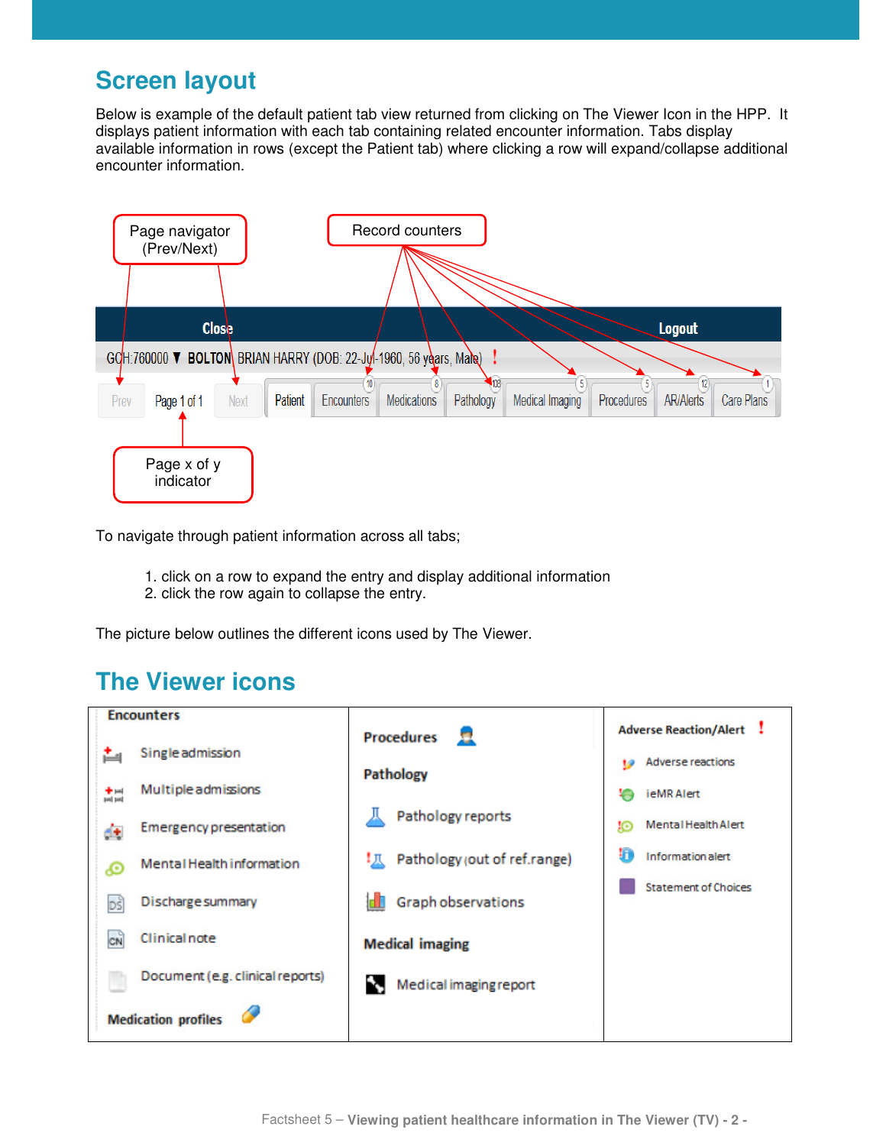#### **Screen layout**

Below is example of the default patient tab view returned from clicking on The Viewer Icon in the HPP. It displays patient information with each tab containing related encounter information. Tabs display available information in rows (except the Patient tab) where clicking a row will expand/collapse additional encounter information.



To navigate through patient information across all tabs;

- 1. click on a row to expand the entry and display additional information
- 2. click the row again to collapse the entry.

The picture below outlines the different icons used by The Viewer.

## **The Viewer icons**